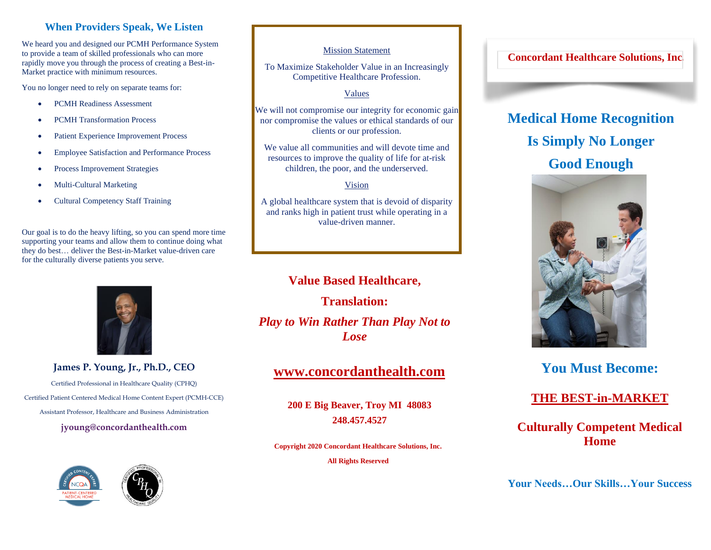### **When Providers Speak, We Listen**

We heard you and designed our PCMH Performance System to provide a team of skilled professionals who can more rapidly move you through the process of creating a Best-in-Market practice with minimum resources.

You no longer need to rely on separate teams for:

- PCMH Readiness Assessment
- PCMH Transformation Process
- Patient Experience Improvement Process
- Employee Satisfaction and Performance Process
- Process Improvement Strategies
- Multi-Cultural Marketing
- Cultural Competency Staff Training

Our goal is to do the heavy lifting, so you can spend more time supporting your teams and allow them to continue doing what they do best… deliver the Best-in-Market value-driven care for the culturally diverse patients you serve.



**James P. Young, Jr., Ph.D., CEO**

Certified Professional in Healthcare Quality (CPHQ) Certified Patient Centered Medical Home Content Expert (PCMH-CCE) Assistant Professor, Healthcare and Business Administration

**jyoung@concordanthealth.com**





#### Mission Statement

To Maximize Stakeholder Value in an Increasingly Competitive Healthcare Profession.

#### Values

We will not compromise our integrity for economic gain nor compromise the values or ethical standards of our clients or our profession.

We value all communities and will devote time and resources to improve the quality of life for at-risk children, the poor, and the underserved.

#### Vision

A global healthcare system that is devoid of disparity and ranks high in patient trust while operating in a value-driven manner.

**Value Based Healthcare, Translation:** *Play to Win Rather Than Play Not to Lose*

# **[www.concordanthealth.com](http://www.cardiosolutions.net/)**

**200 E Big Beaver, Troy MI 48083 248.457.4527**

**Copyright 2020 Concordant Healthcare Solutions, Inc.** 

**All Rights Reserved**

### **Concordant Healthcare Solutions, Inc.**

# **Medical Home Recognition Is Simply No Longer Good Enough**



# **You Must Become:**

# **THE BEST-in-MARKET**

# **Culturally Competent Medical Home**

**Your Needs…Our Skills…Your Success**